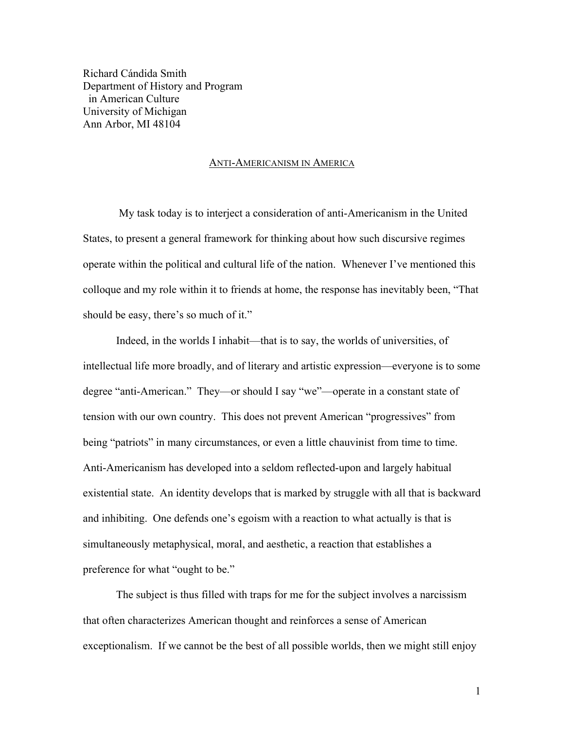Richard Cándida Smith Department of History and Program in American Culture University of Michigan Ann Arbor, MI 48104

## ANTI-AMERICANISM IN AMERICA

My task today is to interject a consideration of anti-Americanism in the United States, to present a general framework for thinking about how such discursive regimes operate within the political and cultural life of the nation. Whenever I've mentioned this colloque and my role within it to friends at home, the response has inevitably been, "That should be easy, there's so much of it."

Indeed, in the worlds I inhabit—that is to say, the worlds of universities, of intellectual life more broadly, and of literary and artistic expression—everyone is to some degree "anti-American." They—or should I say "we"—operate in a constant state of tension with our own country. This does not prevent American "progressives" from being "patriots" in many circumstances, or even a little chauvinist from time to time. Anti-Americanism has developed into a seldom reflected-upon and largely habitual existential state. An identity develops that is marked by struggle with all that is backward and inhibiting. One defends one's egoism with a reaction to what actually is that is simultaneously metaphysical, moral, and aesthetic, a reaction that establishes a preference for what "ought to be."

The subject is thus filled with traps for me for the subject involves a narcissism that often characterizes American thought and reinforces a sense of American exceptionalism. If we cannot be the best of all possible worlds, then we might still enjoy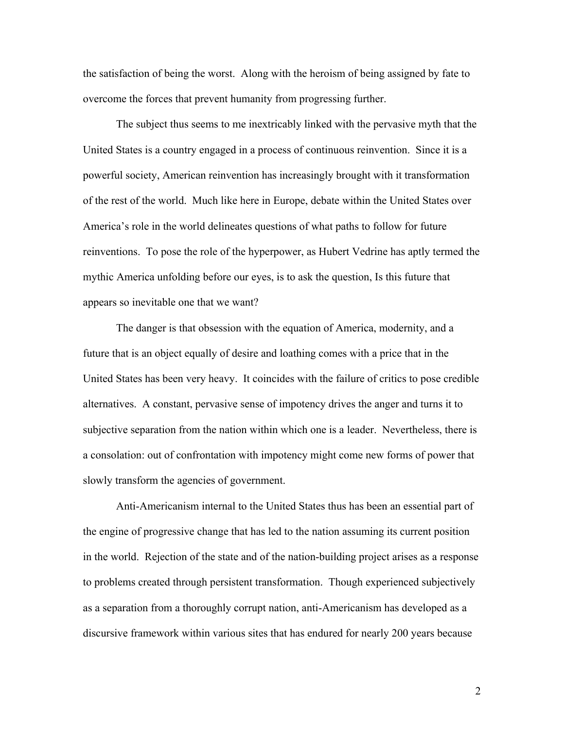the satisfaction of being the worst. Along with the heroism of being assigned by fate to overcome the forces that prevent humanity from progressing further.

The subject thus seems to me inextricably linked with the pervasive myth that the United States is a country engaged in a process of continuous reinvention. Since it is a powerful society, American reinvention has increasingly brought with it transformation of the rest of the world. Much like here in Europe, debate within the United States over America's role in the world delineates questions of what paths to follow for future reinventions. To pose the role of the hyperpower, as Hubert Vedrine has aptly termed the mythic America unfolding before our eyes, is to ask the question, Is this future that appears so inevitable one that we want?

The danger is that obsession with the equation of America, modernity, and a future that is an object equally of desire and loathing comes with a price that in the United States has been very heavy. It coincides with the failure of critics to pose credible alternatives. A constant, pervasive sense of impotency drives the anger and turns it to subjective separation from the nation within which one is a leader. Nevertheless, there is a consolation: out of confrontation with impotency might come new forms of power that slowly transform the agencies of government.

Anti-Americanism internal to the United States thus has been an essential part of the engine of progressive change that has led to the nation assuming its current position in the world. Rejection of the state and of the nation-building project arises as a response to problems created through persistent transformation. Though experienced subjectively as a separation from a thoroughly corrupt nation, anti-Americanism has developed as a discursive framework within various sites that has endured for nearly 200 years because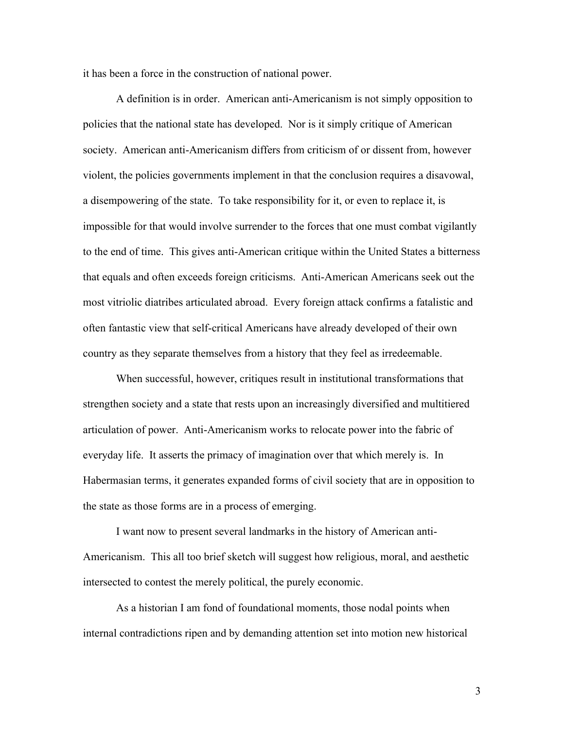it has been a force in the construction of national power.

A definition is in order. American anti-Americanism is not simply opposition to policies that the national state has developed. Nor is it simply critique of American society. American anti-Americanism differs from criticism of or dissent from, however violent, the policies governments implement in that the conclusion requires a disavowal, a disempowering of the state. To take responsibility for it, or even to replace it, is impossible for that would involve surrender to the forces that one must combat vigilantly to the end of time. This gives anti-American critique within the United States a bitterness that equals and often exceeds foreign criticisms. Anti-American Americans seek out the most vitriolic diatribes articulated abroad. Every foreign attack confirms a fatalistic and often fantastic view that self-critical Americans have already developed of their own country as they separate themselves from a history that they feel as irredeemable.

When successful, however, critiques result in institutional transformations that strengthen society and a state that rests upon an increasingly diversified and multitiered articulation of power. Anti-Americanism works to relocate power into the fabric of everyday life. It asserts the primacy of imagination over that which merely is. In Habermasian terms, it generates expanded forms of civil society that are in opposition to the state as those forms are in a process of emerging.

I want now to present several landmarks in the history of American anti-Americanism. This all too brief sketch will suggest how religious, moral, and aesthetic intersected to contest the merely political, the purely economic.

As a historian I am fond of foundational moments, those nodal points when internal contradictions ripen and by demanding attention set into motion new historical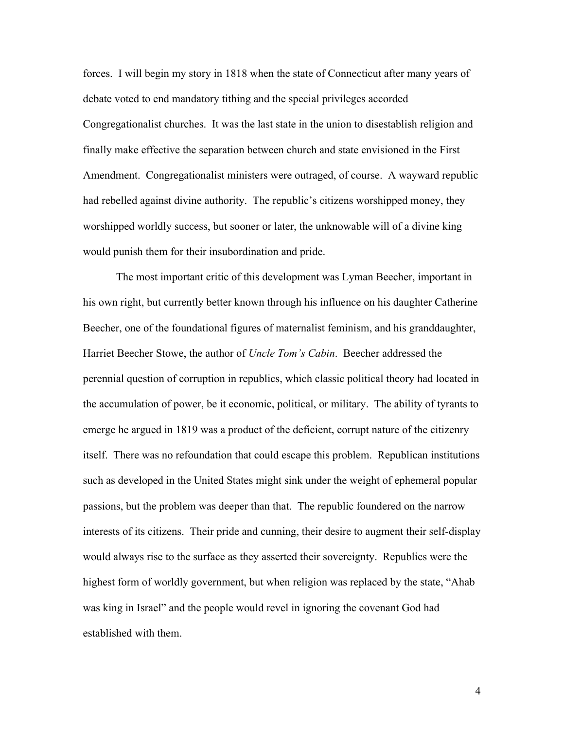forces. I will begin my story in 1818 when the state of Connecticut after many years of debate voted to end mandatory tithing and the special privileges accorded Congregationalist churches. It was the last state in the union to disestablish religion and finally make effective the separation between church and state envisioned in the First Amendment. Congregationalist ministers were outraged, of course. A wayward republic had rebelled against divine authority. The republic's citizens worshipped money, they worshipped worldly success, but sooner or later, the unknowable will of a divine king would punish them for their insubordination and pride.

The most important critic of this development was Lyman Beecher, important in his own right, but currently better known through his influence on his daughter Catherine Beecher, one of the foundational figures of maternalist feminism, and his granddaughter, Harriet Beecher Stowe, the author of *Uncle Tom's Cabin*. Beecher addressed the perennial question of corruption in republics, which classic political theory had located in the accumulation of power, be it economic, political, or military. The ability of tyrants to emerge he argued in 1819 was a product of the deficient, corrupt nature of the citizenry itself. There was no refoundation that could escape this problem. Republican institutions such as developed in the United States might sink under the weight of ephemeral popular passions, but the problem was deeper than that. The republic foundered on the narrow interests of its citizens. Their pride and cunning, their desire to augment their self-display would always rise to the surface as they asserted their sovereignty. Republics were the highest form of worldly government, but when religion was replaced by the state, "Ahab was king in Israel" and the people would revel in ignoring the covenant God had established with them.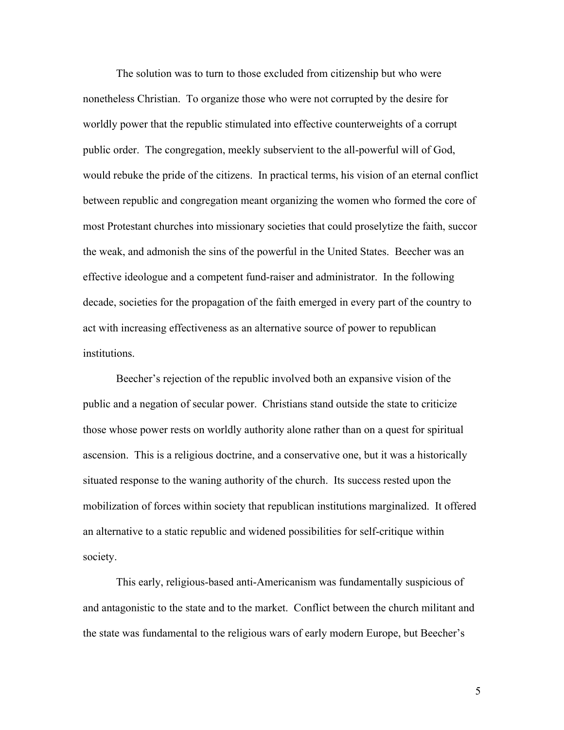The solution was to turn to those excluded from citizenship but who were nonetheless Christian. To organize those who were not corrupted by the desire for worldly power that the republic stimulated into effective counterweights of a corrupt public order. The congregation, meekly subservient to the all-powerful will of God, would rebuke the pride of the citizens. In practical terms, his vision of an eternal conflict between republic and congregation meant organizing the women who formed the core of most Protestant churches into missionary societies that could proselytize the faith, succor the weak, and admonish the sins of the powerful in the United States. Beecher was an effective ideologue and a competent fund-raiser and administrator. In the following decade, societies for the propagation of the faith emerged in every part of the country to act with increasing effectiveness as an alternative source of power to republican institutions.

Beecher's rejection of the republic involved both an expansive vision of the public and a negation of secular power. Christians stand outside the state to criticize those whose power rests on worldly authority alone rather than on a quest for spiritual ascension. This is a religious doctrine, and a conservative one, but it was a historically situated response to the waning authority of the church. Its success rested upon the mobilization of forces within society that republican institutions marginalized. It offered an alternative to a static republic and widened possibilities for self-critique within society.

This early, religious-based anti-Americanism was fundamentally suspicious of and antagonistic to the state and to the market. Conflict between the church militant and the state was fundamental to the religious wars of early modern Europe, but Beecher's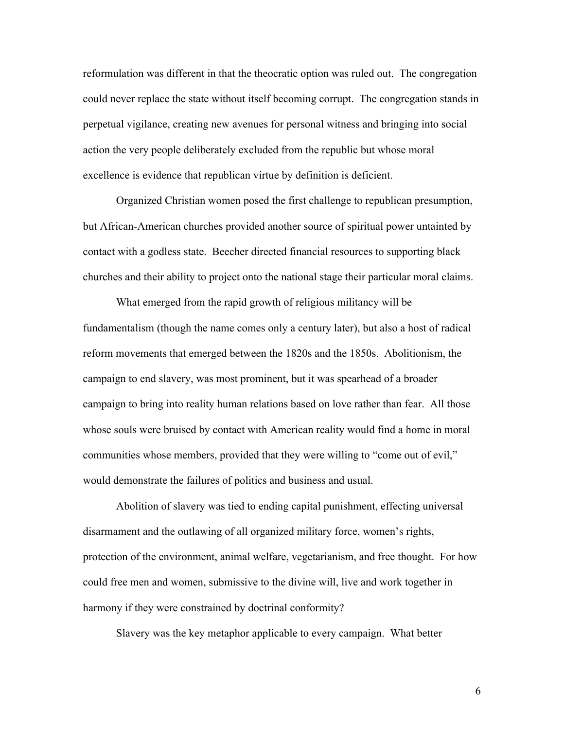reformulation was different in that the theocratic option was ruled out. The congregation could never replace the state without itself becoming corrupt. The congregation stands in perpetual vigilance, creating new avenues for personal witness and bringing into social action the very people deliberately excluded from the republic but whose moral excellence is evidence that republican virtue by definition is deficient.

Organized Christian women posed the first challenge to republican presumption, but African-American churches provided another source of spiritual power untainted by contact with a godless state. Beecher directed financial resources to supporting black churches and their ability to project onto the national stage their particular moral claims.

What emerged from the rapid growth of religious militancy will be fundamentalism (though the name comes only a century later), but also a host of radical reform movements that emerged between the 1820s and the 1850s. Abolitionism, the campaign to end slavery, was most prominent, but it was spearhead of a broader campaign to bring into reality human relations based on love rather than fear. All those whose souls were bruised by contact with American reality would find a home in moral communities whose members, provided that they were willing to "come out of evil," would demonstrate the failures of politics and business and usual.

Abolition of slavery was tied to ending capital punishment, effecting universal disarmament and the outlawing of all organized military force, women's rights, protection of the environment, animal welfare, vegetarianism, and free thought. For how could free men and women, submissive to the divine will, live and work together in harmony if they were constrained by doctrinal conformity?

Slavery was the key metaphor applicable to every campaign. What better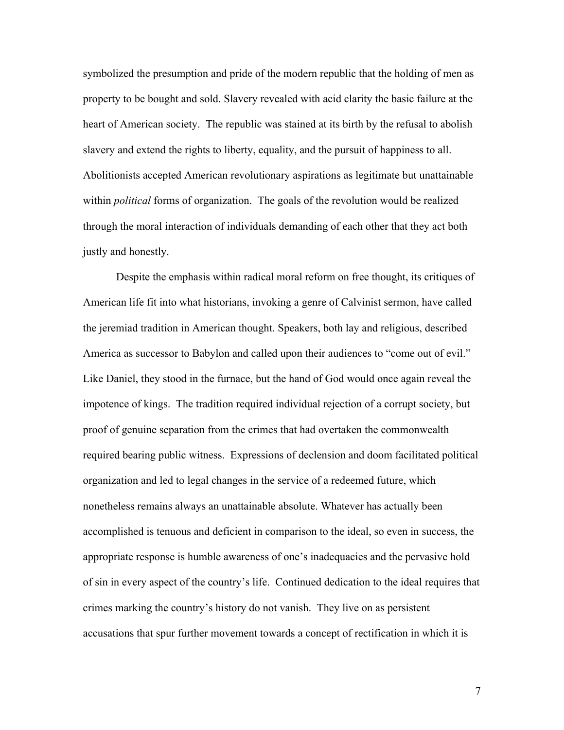symbolized the presumption and pride of the modern republic that the holding of men as property to be bought and sold. Slavery revealed with acid clarity the basic failure at the heart of American society. The republic was stained at its birth by the refusal to abolish slavery and extend the rights to liberty, equality, and the pursuit of happiness to all. Abolitionists accepted American revolutionary aspirations as legitimate but unattainable within *political* forms of organization. The goals of the revolution would be realized through the moral interaction of individuals demanding of each other that they act both justly and honestly.

Despite the emphasis within radical moral reform on free thought, its critiques of American life fit into what historians, invoking a genre of Calvinist sermon, have called the jeremiad tradition in American thought. Speakers, both lay and religious, described America as successor to Babylon and called upon their audiences to "come out of evil." Like Daniel, they stood in the furnace, but the hand of God would once again reveal the impotence of kings. The tradition required individual rejection of a corrupt society, but proof of genuine separation from the crimes that had overtaken the commonwealth required bearing public witness. Expressions of declension and doom facilitated political organization and led to legal changes in the service of a redeemed future, which nonetheless remains always an unattainable absolute. Whatever has actually been accomplished is tenuous and deficient in comparison to the ideal, so even in success, the appropriate response is humble awareness of one's inadequacies and the pervasive hold of sin in every aspect of the country's life. Continued dedication to the ideal requires that crimes marking the country's history do not vanish. They live on as persistent accusations that spur further movement towards a concept of rectification in which it is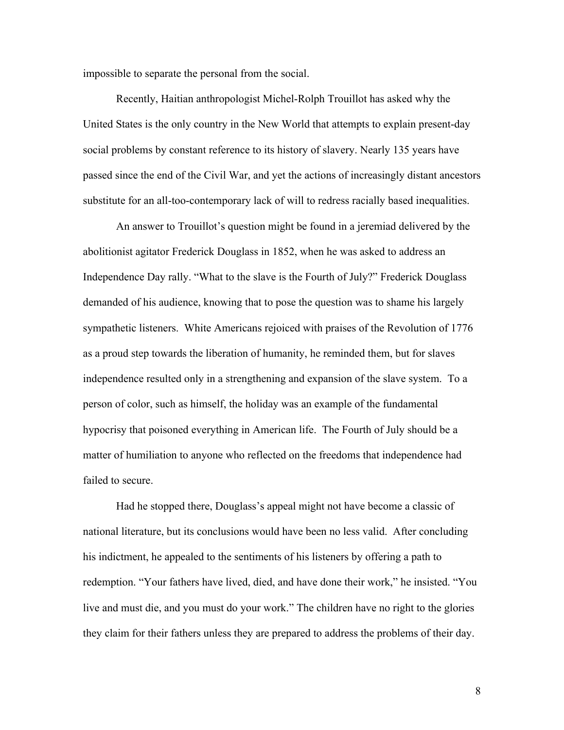impossible to separate the personal from the social.

Recently, Haitian anthropologist Michel-Rolph Trouillot has asked why the United States is the only country in the New World that attempts to explain present-day social problems by constant reference to its history of slavery. Nearly 135 years have passed since the end of the Civil War, and yet the actions of increasingly distant ancestors substitute for an all-too-contemporary lack of will to redress racially based inequalities.

An answer to Trouillot's question might be found in a jeremiad delivered by the abolitionist agitator Frederick Douglass in 1852, when he was asked to address an Independence Day rally. "What to the slave is the Fourth of July?" Frederick Douglass demanded of his audience, knowing that to pose the question was to shame his largely sympathetic listeners. White Americans rejoiced with praises of the Revolution of 1776 as a proud step towards the liberation of humanity, he reminded them, but for slaves independence resulted only in a strengthening and expansion of the slave system. To a person of color, such as himself, the holiday was an example of the fundamental hypocrisy that poisoned everything in American life. The Fourth of July should be a matter of humiliation to anyone who reflected on the freedoms that independence had failed to secure.

Had he stopped there, Douglass's appeal might not have become a classic of national literature, but its conclusions would have been no less valid. After concluding his indictment, he appealed to the sentiments of his listeners by offering a path to redemption. "Your fathers have lived, died, and have done their work," he insisted. "You live and must die, and you must do your work." The children have no right to the glories they claim for their fathers unless they are prepared to address the problems of their day.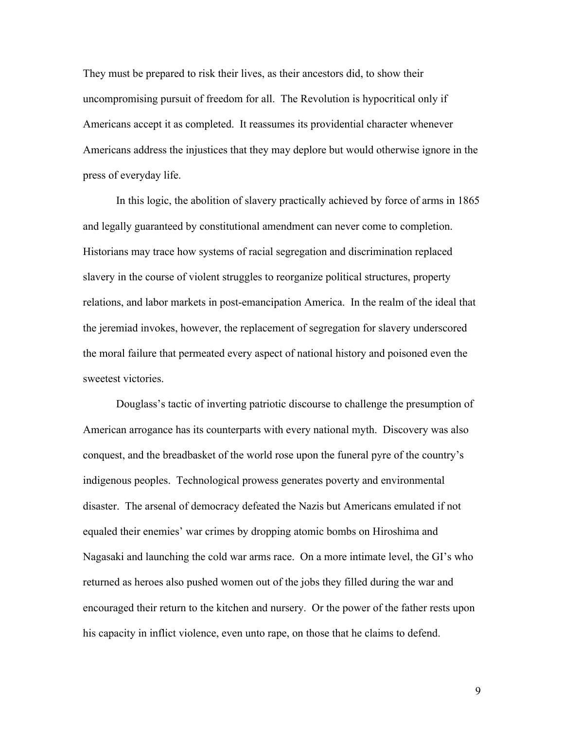They must be prepared to risk their lives, as their ancestors did, to show their uncompromising pursuit of freedom for all. The Revolution is hypocritical only if Americans accept it as completed. It reassumes its providential character whenever Americans address the injustices that they may deplore but would otherwise ignore in the press of everyday life.

In this logic, the abolition of slavery practically achieved by force of arms in 1865 and legally guaranteed by constitutional amendment can never come to completion. Historians may trace how systems of racial segregation and discrimination replaced slavery in the course of violent struggles to reorganize political structures, property relations, and labor markets in post-emancipation America. In the realm of the ideal that the jeremiad invokes, however, the replacement of segregation for slavery underscored the moral failure that permeated every aspect of national history and poisoned even the sweetest victories.

Douglass's tactic of inverting patriotic discourse to challenge the presumption of American arrogance has its counterparts with every national myth. Discovery was also conquest, and the breadbasket of the world rose upon the funeral pyre of the country's indigenous peoples. Technological prowess generates poverty and environmental disaster. The arsenal of democracy defeated the Nazis but Americans emulated if not equaled their enemies' war crimes by dropping atomic bombs on Hiroshima and Nagasaki and launching the cold war arms race. On a more intimate level, the GI's who returned as heroes also pushed women out of the jobs they filled during the war and encouraged their return to the kitchen and nursery. Or the power of the father rests upon his capacity in inflict violence, even unto rape, on those that he claims to defend.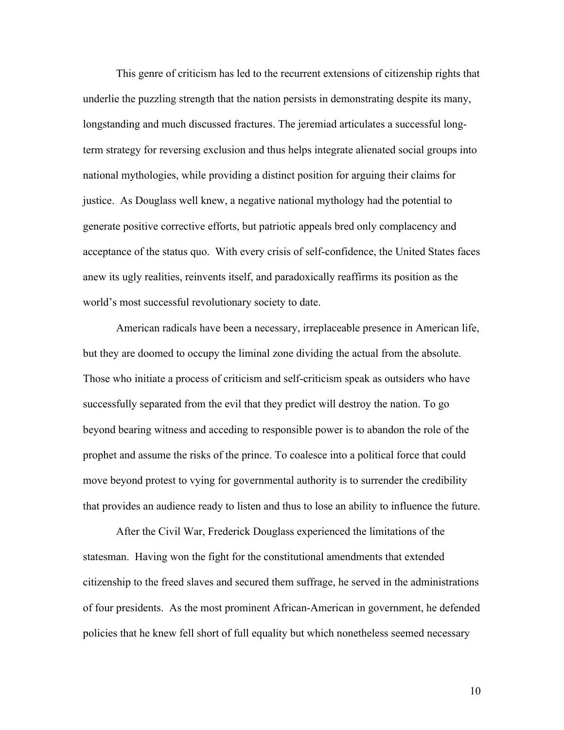This genre of criticism has led to the recurrent extensions of citizenship rights that underlie the puzzling strength that the nation persists in demonstrating despite its many, longstanding and much discussed fractures. The jeremiad articulates a successful longterm strategy for reversing exclusion and thus helps integrate alienated social groups into national mythologies, while providing a distinct position for arguing their claims for justice. As Douglass well knew, a negative national mythology had the potential to generate positive corrective efforts, but patriotic appeals bred only complacency and acceptance of the status quo. With every crisis of self-confidence, the United States faces anew its ugly realities, reinvents itself, and paradoxically reaffirms its position as the world's most successful revolutionary society to date.

American radicals have been a necessary, irreplaceable presence in American life, but they are doomed to occupy the liminal zone dividing the actual from the absolute. Those who initiate a process of criticism and self-criticism speak as outsiders who have successfully separated from the evil that they predict will destroy the nation. To go beyond bearing witness and acceding to responsible power is to abandon the role of the prophet and assume the risks of the prince. To coalesce into a political force that could move beyond protest to vying for governmental authority is to surrender the credibility that provides an audience ready to listen and thus to lose an ability to influence the future.

After the Civil War, Frederick Douglass experienced the limitations of the statesman. Having won the fight for the constitutional amendments that extended citizenship to the freed slaves and secured them suffrage, he served in the administrations of four presidents. As the most prominent African-American in government, he defended policies that he knew fell short of full equality but which nonetheless seemed necessary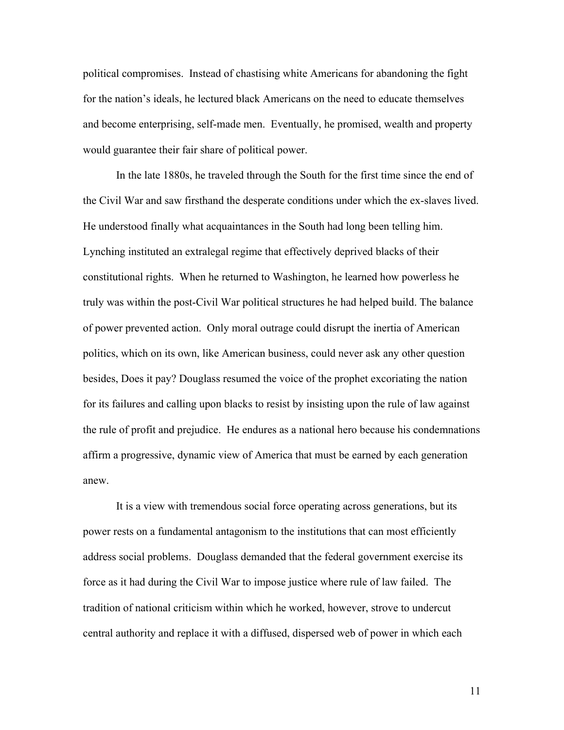political compromises. Instead of chastising white Americans for abandoning the fight for the nation's ideals, he lectured black Americans on the need to educate themselves and become enterprising, self-made men. Eventually, he promised, wealth and property would guarantee their fair share of political power.

In the late 1880s, he traveled through the South for the first time since the end of the Civil War and saw firsthand the desperate conditions under which the ex-slaves lived. He understood finally what acquaintances in the South had long been telling him. Lynching instituted an extralegal regime that effectively deprived blacks of their constitutional rights. When he returned to Washington, he learned how powerless he truly was within the post-Civil War political structures he had helped build. The balance of power prevented action. Only moral outrage could disrupt the inertia of American politics, which on its own, like American business, could never ask any other question besides, Does it pay? Douglass resumed the voice of the prophet excoriating the nation for its failures and calling upon blacks to resist by insisting upon the rule of law against the rule of profit and prejudice. He endures as a national hero because his condemnations affirm a progressive, dynamic view of America that must be earned by each generation anew.

It is a view with tremendous social force operating across generations, but its power rests on a fundamental antagonism to the institutions that can most efficiently address social problems. Douglass demanded that the federal government exercise its force as it had during the Civil War to impose justice where rule of law failed. The tradition of national criticism within which he worked, however, strove to undercut central authority and replace it with a diffused, dispersed web of power in which each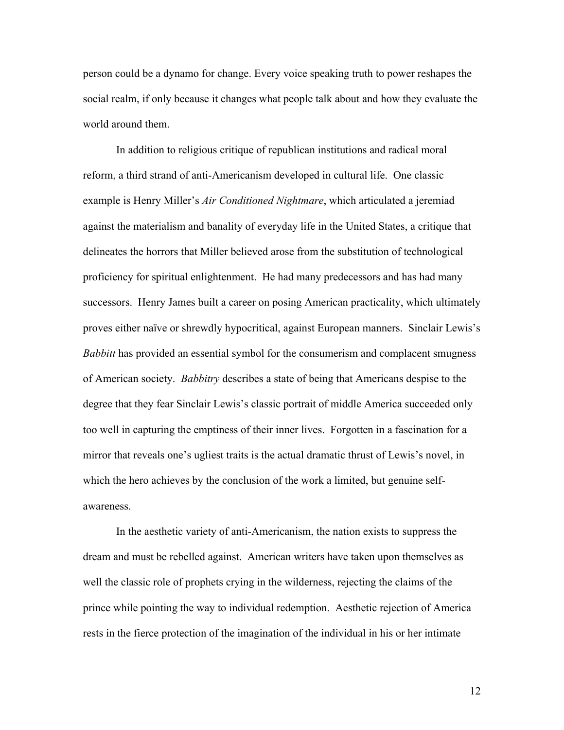person could be a dynamo for change. Every voice speaking truth to power reshapes the social realm, if only because it changes what people talk about and how they evaluate the world around them.

In addition to religious critique of republican institutions and radical moral reform, a third strand of anti-Americanism developed in cultural life. One classic example is Henry Miller's *Air Conditioned Nightmare*, which articulated a jeremiad against the materialism and banality of everyday life in the United States, a critique that delineates the horrors that Miller believed arose from the substitution of technological proficiency for spiritual enlightenment. He had many predecessors and has had many successors. Henry James built a career on posing American practicality, which ultimately proves either naïve or shrewdly hypocritical, against European manners. Sinclair Lewis's *Babbitt* has provided an essential symbol for the consumerism and complacent smugness of American society. *Babbitry* describes a state of being that Americans despise to the degree that they fear Sinclair Lewis's classic portrait of middle America succeeded only too well in capturing the emptiness of their inner lives. Forgotten in a fascination for a mirror that reveals one's ugliest traits is the actual dramatic thrust of Lewis's novel, in which the hero achieves by the conclusion of the work a limited, but genuine selfawareness.

In the aesthetic variety of anti-Americanism, the nation exists to suppress the dream and must be rebelled against. American writers have taken upon themselves as well the classic role of prophets crying in the wilderness, rejecting the claims of the prince while pointing the way to individual redemption. Aesthetic rejection of America rests in the fierce protection of the imagination of the individual in his or her intimate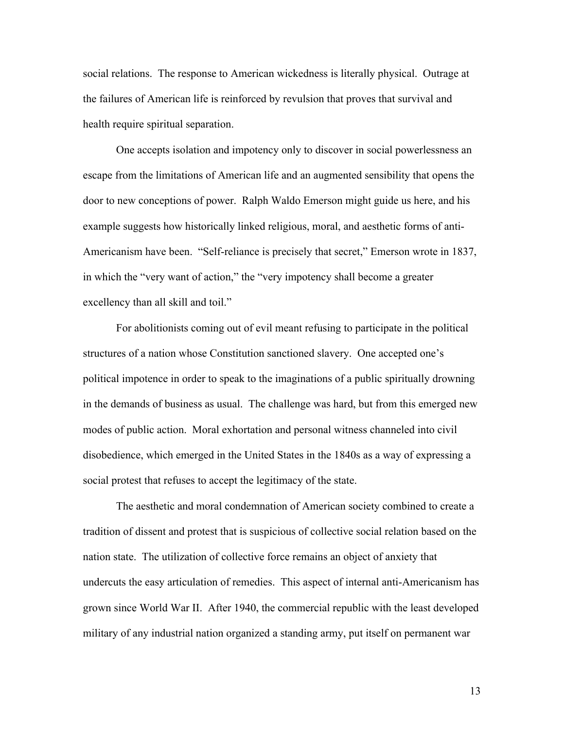social relations. The response to American wickedness is literally physical. Outrage at the failures of American life is reinforced by revulsion that proves that survival and health require spiritual separation.

One accepts isolation and impotency only to discover in social powerlessness an escape from the limitations of American life and an augmented sensibility that opens the door to new conceptions of power. Ralph Waldo Emerson might guide us here, and his example suggests how historically linked religious, moral, and aesthetic forms of anti-Americanism have been. "Self-reliance is precisely that secret," Emerson wrote in 1837, in which the "very want of action," the "very impotency shall become a greater excellency than all skill and toil."

For abolitionists coming out of evil meant refusing to participate in the political structures of a nation whose Constitution sanctioned slavery. One accepted one's political impotence in order to speak to the imaginations of a public spiritually drowning in the demands of business as usual. The challenge was hard, but from this emerged new modes of public action. Moral exhortation and personal witness channeled into civil disobedience, which emerged in the United States in the 1840s as a way of expressing a social protest that refuses to accept the legitimacy of the state.

The aesthetic and moral condemnation of American society combined to create a tradition of dissent and protest that is suspicious of collective social relation based on the nation state. The utilization of collective force remains an object of anxiety that undercuts the easy articulation of remedies. This aspect of internal anti-Americanism has grown since World War II. After 1940, the commercial republic with the least developed military of any industrial nation organized a standing army, put itself on permanent war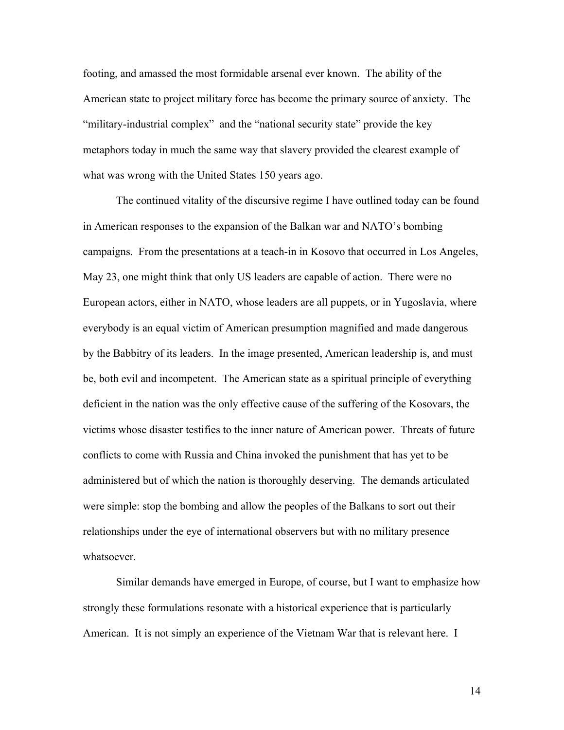footing, and amassed the most formidable arsenal ever known. The ability of the American state to project military force has become the primary source of anxiety. The "military-industrial complex" and the "national security state" provide the key metaphors today in much the same way that slavery provided the clearest example of what was wrong with the United States 150 years ago.

The continued vitality of the discursive regime I have outlined today can be found in American responses to the expansion of the Balkan war and NATO's bombing campaigns. From the presentations at a teach-in in Kosovo that occurred in Los Angeles, May 23, one might think that only US leaders are capable of action. There were no European actors, either in NATO, whose leaders are all puppets, or in Yugoslavia, where everybody is an equal victim of American presumption magnified and made dangerous by the Babbitry of its leaders. In the image presented, American leadership is, and must be, both evil and incompetent. The American state as a spiritual principle of everything deficient in the nation was the only effective cause of the suffering of the Kosovars, the victims whose disaster testifies to the inner nature of American power. Threats of future conflicts to come with Russia and China invoked the punishment that has yet to be administered but of which the nation is thoroughly deserving. The demands articulated were simple: stop the bombing and allow the peoples of the Balkans to sort out their relationships under the eye of international observers but with no military presence whatsoever.

Similar demands have emerged in Europe, of course, but I want to emphasize how strongly these formulations resonate with a historical experience that is particularly American. It is not simply an experience of the Vietnam War that is relevant here. I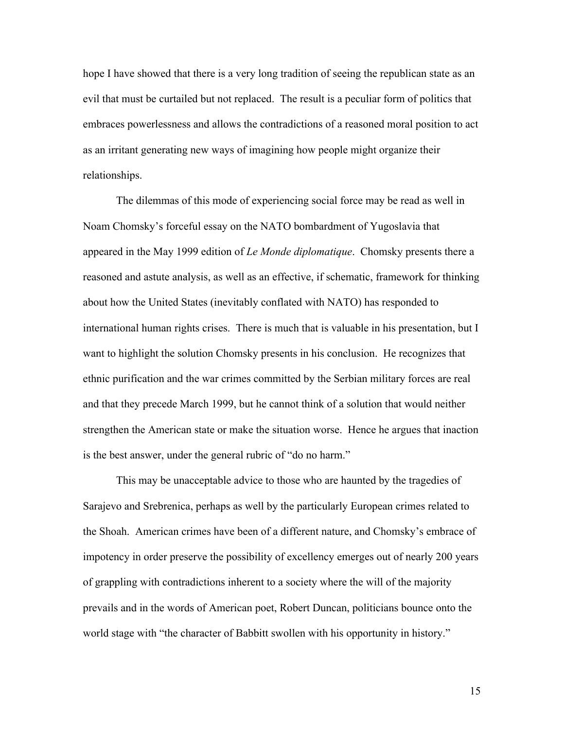hope I have showed that there is a very long tradition of seeing the republican state as an evil that must be curtailed but not replaced. The result is a peculiar form of politics that embraces powerlessness and allows the contradictions of a reasoned moral position to act as an irritant generating new ways of imagining how people might organize their relationships.

The dilemmas of this mode of experiencing social force may be read as well in Noam Chomsky's forceful essay on the NATO bombardment of Yugoslavia that appeared in the May 1999 edition of *Le Monde diplomatique*. Chomsky presents there a reasoned and astute analysis, as well as an effective, if schematic, framework for thinking about how the United States (inevitably conflated with NATO) has responded to international human rights crises. There is much that is valuable in his presentation, but I want to highlight the solution Chomsky presents in his conclusion. He recognizes that ethnic purification and the war crimes committed by the Serbian military forces are real and that they precede March 1999, but he cannot think of a solution that would neither strengthen the American state or make the situation worse. Hence he argues that inaction is the best answer, under the general rubric of "do no harm."

This may be unacceptable advice to those who are haunted by the tragedies of Sarajevo and Srebrenica, perhaps as well by the particularly European crimes related to the Shoah. American crimes have been of a different nature, and Chomsky's embrace of impotency in order preserve the possibility of excellency emerges out of nearly 200 years of grappling with contradictions inherent to a society where the will of the majority prevails and in the words of American poet, Robert Duncan, politicians bounce onto the world stage with "the character of Babbitt swollen with his opportunity in history."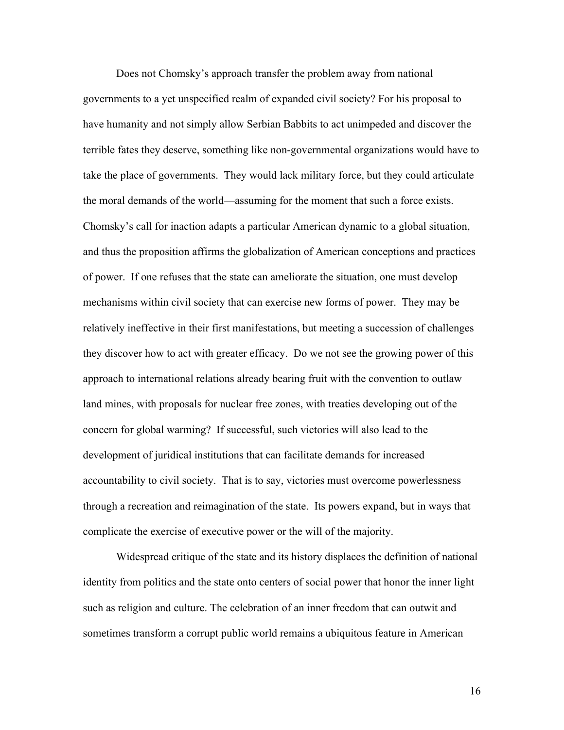Does not Chomsky's approach transfer the problem away from national governments to a yet unspecified realm of expanded civil society? For his proposal to have humanity and not simply allow Serbian Babbits to act unimpeded and discover the terrible fates they deserve, something like non-governmental organizations would have to take the place of governments. They would lack military force, but they could articulate the moral demands of the world—assuming for the moment that such a force exists. Chomsky's call for inaction adapts a particular American dynamic to a global situation, and thus the proposition affirms the globalization of American conceptions and practices of power. If one refuses that the state can ameliorate the situation, one must develop mechanisms within civil society that can exercise new forms of power. They may be relatively ineffective in their first manifestations, but meeting a succession of challenges they discover how to act with greater efficacy. Do we not see the growing power of this approach to international relations already bearing fruit with the convention to outlaw land mines, with proposals for nuclear free zones, with treaties developing out of the concern for global warming? If successful, such victories will also lead to the development of juridical institutions that can facilitate demands for increased accountability to civil society. That is to say, victories must overcome powerlessness through a recreation and reimagination of the state. Its powers expand, but in ways that complicate the exercise of executive power or the will of the majority.

Widespread critique of the state and its history displaces the definition of national identity from politics and the state onto centers of social power that honor the inner light such as religion and culture. The celebration of an inner freedom that can outwit and sometimes transform a corrupt public world remains a ubiquitous feature in American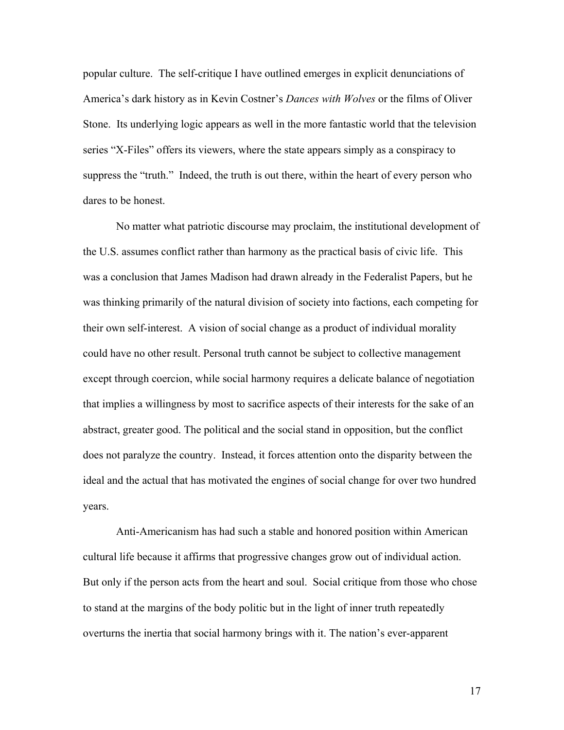popular culture. The self-critique I have outlined emerges in explicit denunciations of America's dark history as in Kevin Costner's *Dances with Wolves* or the films of Oliver Stone. Its underlying logic appears as well in the more fantastic world that the television series "X-Files" offers its viewers, where the state appears simply as a conspiracy to suppress the "truth." Indeed, the truth is out there, within the heart of every person who dares to be honest.

No matter what patriotic discourse may proclaim, the institutional development of the U.S. assumes conflict rather than harmony as the practical basis of civic life. This was a conclusion that James Madison had drawn already in the Federalist Papers, but he was thinking primarily of the natural division of society into factions, each competing for their own self-interest. A vision of social change as a product of individual morality could have no other result. Personal truth cannot be subject to collective management except through coercion, while social harmony requires a delicate balance of negotiation that implies a willingness by most to sacrifice aspects of their interests for the sake of an abstract, greater good. The political and the social stand in opposition, but the conflict does not paralyze the country. Instead, it forces attention onto the disparity between the ideal and the actual that has motivated the engines of social change for over two hundred years.

Anti-Americanism has had such a stable and honored position within American cultural life because it affirms that progressive changes grow out of individual action. But only if the person acts from the heart and soul. Social critique from those who chose to stand at the margins of the body politic but in the light of inner truth repeatedly overturns the inertia that social harmony brings with it. The nation's ever-apparent